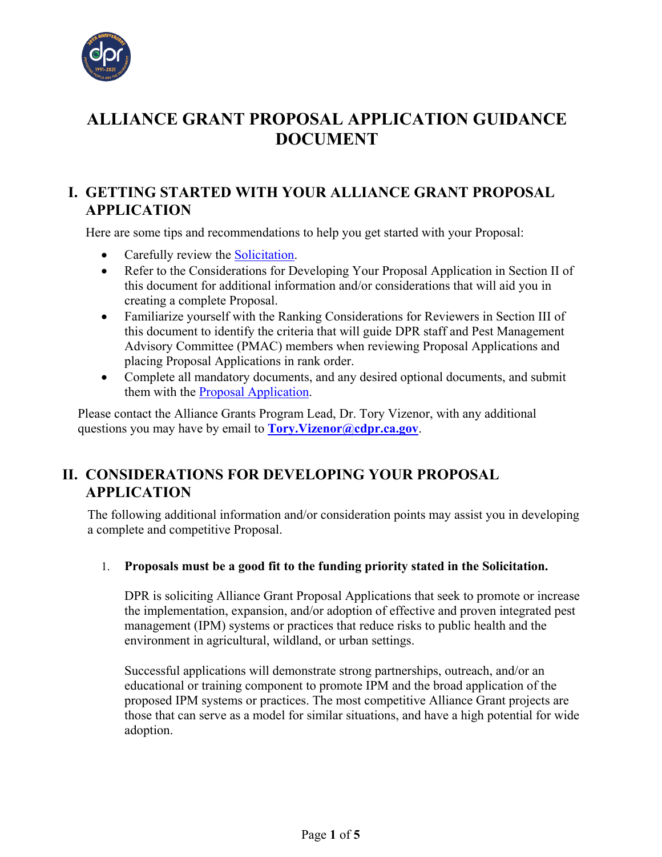

# **ALLIANCE GRANT PROPOSAL APPLICATION GUIDANCE DOCUMENT**

### **I. GETTING STARTED WITH YOUR ALLIANCE GRANT PROPOSAL APPLICATION**

Here are some tips and recommendations to help you get started with your Proposal:

- Carefully review the [Solicitation.](https://www.cdpr.ca.gov/docs/pestmgt/grants/alliance/solicitation/alliance_grant_solicitation_2022.pdf)
- Refer to the Considerations for Developing Your Proposal Application in Section II of this document for additional information and/or considerations that will aid you in creating a complete Proposal.
- Familiarize yourself with the Ranking Considerations for Reviewers in Section III of this document to identify the criteria that will guide DPR staff and Pest Management Advisory Committee (PMAC) members when reviewing Proposal Applications and placing Proposal Applications in rank order.
- Complete all mandatory documents, and any desired optional documents, and submit them with the [Proposal Application.](https://www.cdpr.ca.gov/docs/pestmgt/grants/alliance/solicitation/alliance_grant_application_2022.pdf)

Please contact the Alliance Grants Program Lead, Dr. Tory Vizenor, with any additional questions you may have by email to **[Tory.Vizenor@cdpr.ca.gov](mailto:Tory.Vizenor@cdpr.ca.gov)**.

# **II. CONSIDERATIONS FOR DEVELOPING YOUR PROPOSAL APPLICATION**

The following additional information and/or consideration points may assist you in developing a complete and competitive Proposal.

### 1. **Proposals must be a good fit to the funding priority stated in the Solicitation.**

DPR is soliciting Alliance Grant Proposal Applications that seek to promote or increase the implementation, expansion, and/or adoption of effective and proven integrated pest management (IPM) systems or practices that reduce risks to public health and the environment in agricultural, wildland, or urban settings.

Successful applications will demonstrate strong partnerships, outreach, and/or an educational or training component to promote IPM and the broad application of the proposed IPM systems or practices. The most competitive Alliance Grant projects are those that can serve as a model for similar situations, and have a high potential for wide adoption.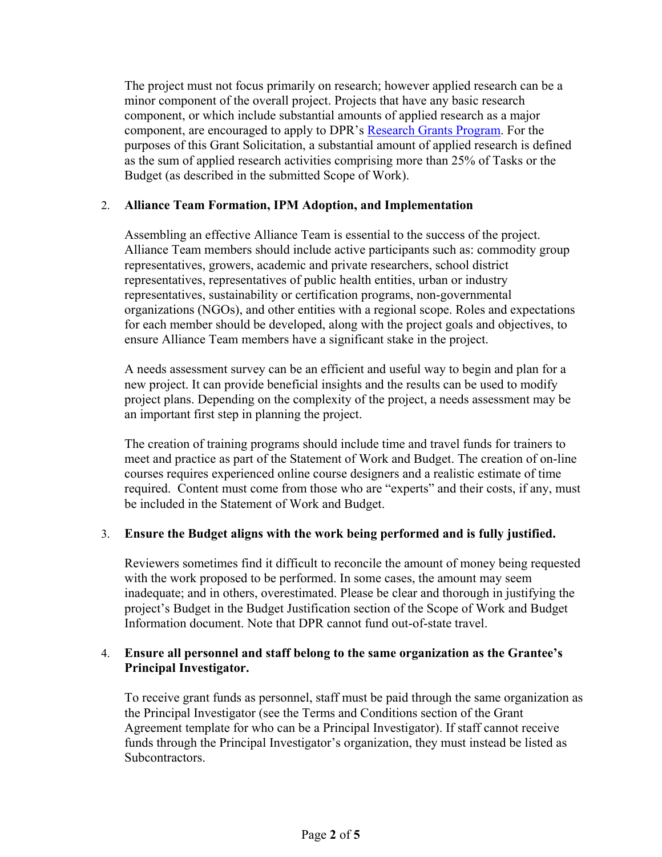The project must not focus primarily on research; however applied research can be a minor component of the overall project. Projects that have any basic research component, or which include substantial amounts of applied research as a major component, are encouraged to apply to DPR's [Research Grants Program.](https://www.cdpr.ca.gov/docs/pestmgt/grants/research/index.htm) For the purposes of this Grant Solicitation, a substantial amount of applied research is defined as the sum of applied research activities comprising more than 25% of Tasks or the Budget (as described in the submitted Scope of Work).

#### 2. **Alliance Team Formation, IPM Adoption, and Implementation**

Assembling an effective Alliance Team is essential to the success of the project. Alliance Team members should include active participants such as: commodity group representatives, growers, academic and private researchers, school district representatives, representatives of public health entities, urban or industry representatives, sustainability or certification programs, non-governmental organizations (NGOs), and other entities with a regional scope. Roles and expectations for each member should be developed, along with the project goals and objectives, to ensure Alliance Team members have a significant stake in the project.

A needs assessment survey can be an efficient and useful way to begin and plan for a new project. It can provide beneficial insights and the results can be used to modify project plans. Depending on the complexity of the project, a needs assessment may be an important first step in planning the project.

The creation of training programs should include time and travel funds for trainers to meet and practice as part of the Statement of Work and Budget. The creation of on-line courses requires experienced online course designers and a realistic estimate of time required. Content must come from those who are "experts" and their costs, if any, must be included in the Statement of Work and Budget.

#### 3. **Ensure the Budget aligns with the work being performed and is fully justified.**

Reviewers sometimes find it difficult to reconcile the amount of money being requested with the work proposed to be performed. In some cases, the amount may seem inadequate; and in others, overestimated. Please be clear and thorough in justifying the project's Budget in the Budget Justification section of the Scope of Work and Budget Information document. Note that DPR cannot fund out-of-state travel.

#### 4. **Ensure all personnel and staff belong to the same organization as the Grantee's Principal Investigator.**

To receive grant funds as personnel, staff must be paid through the same organization as the Principal Investigator (see the Terms and Conditions section of the Grant Agreement template for who can be a Principal Investigator). If staff cannot receive funds through the Principal Investigator's organization, they must instead be listed as Subcontractors.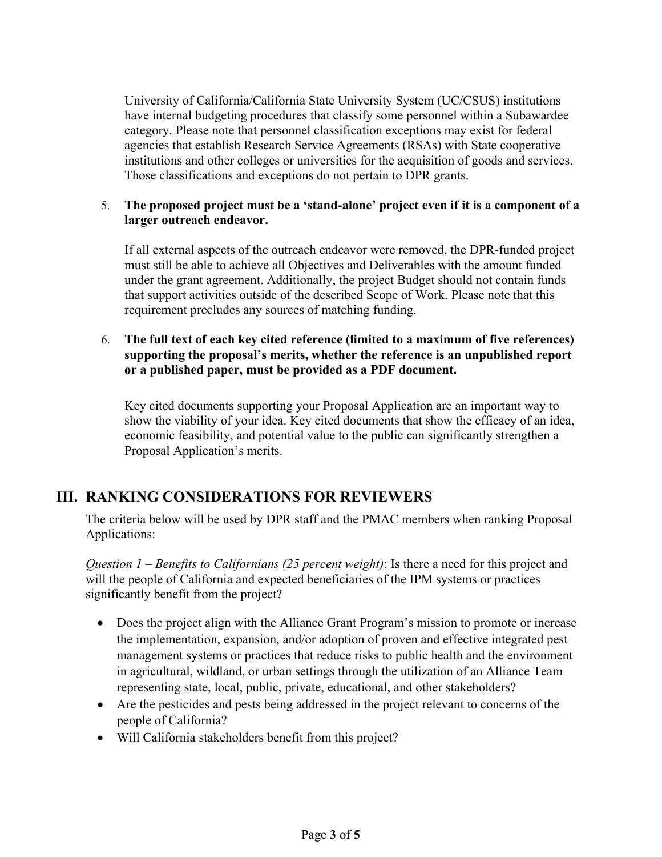University of California/California State University System (UC/CSUS) institutions have internal budgeting procedures that classify some personnel within a Subawardee category. Please note that personnel classification exceptions may exist for federal agencies that establish Research Service Agreements (RSAs) with State cooperative institutions and other colleges or universities for the acquisition of goods and services. Those classifications and exceptions do not pertain to DPR grants.

#### 5. **The proposed project must be a 'stand-alone' project even if it is a component of a larger outreach endeavor.**

If all external aspects of the outreach endeavor were removed, the DPR-funded project must still be able to achieve all Objectives and Deliverables with the amount funded under the grant agreement. Additionally, the project Budget should not contain funds that support activities outside of the described Scope of Work. Please note that this requirement precludes any sources of matching funding.

### 6. **The full text of each key cited reference (limited to a maximum of five references) supporting the proposal's merits, whether the reference is an unpublished report or a published paper, must be provided as a PDF document.**

Key cited documents supporting your Proposal Application are an important way to show the viability of your idea. Key cited documents that show the efficacy of an idea, economic feasibility, and potential value to the public can significantly strengthen a Proposal Application's merits.

## **III. RANKING CONSIDERATIONS FOR REVIEWERS**

The criteria below will be used by DPR staff and the PMAC members when ranking Proposal Applications:

*Question 1 – Benefits to Californians (25 percent weight)*: Is there a need for this project and will the people of California and expected beneficiaries of the IPM systems or practices significantly benefit from the project?

- Does the project align with the Alliance Grant Program's mission to promote or increase the implementation, expansion, and/or adoption of proven and effective integrated pest management systems or practices that reduce risks to public health and the environment in agricultural, wildland, or urban settings through the utilization of an Alliance Team representing state, local, public, private, educational, and other stakeholders?
- Are the pesticides and pests being addressed in the project relevant to concerns of the people of California?
- Will California stakeholders benefit from this project?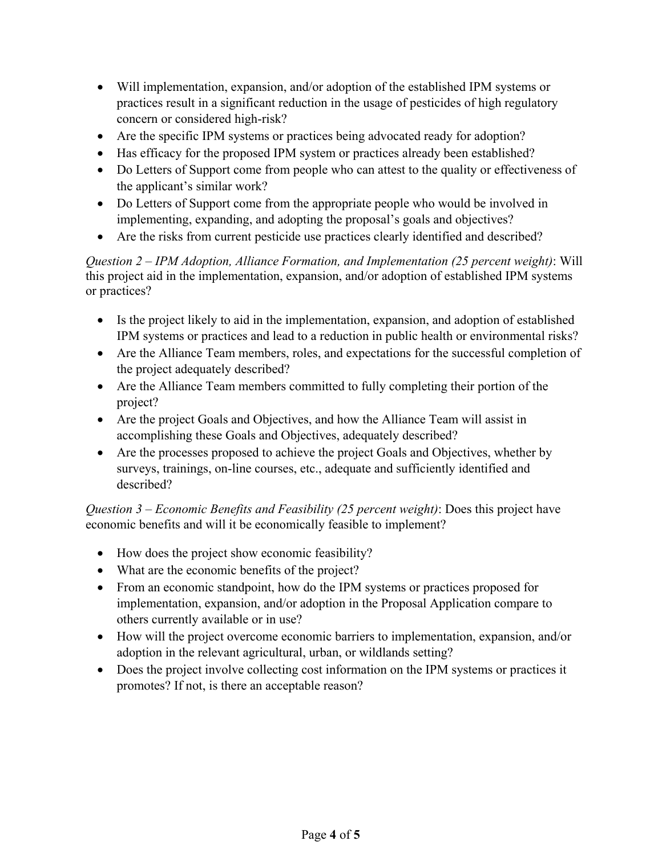- Will implementation, expansion, and/or adoption of the established IPM systems or practices result in a significant reduction in the usage of pesticides of high regulatory concern or considered high-risk?
- Are the specific IPM systems or practices being advocated ready for adoption?
- Has efficacy for the proposed IPM system or practices already been established?
- Do Letters of Support come from people who can attest to the quality or effectiveness of the applicant's similar work?
- Do Letters of Support come from the appropriate people who would be involved in implementing, expanding, and adopting the proposal's goals and objectives?
- Are the risks from current pesticide use practices clearly identified and described?

*Question 2 – IPM Adoption, Alliance Formation, and Implementation (25 percent weight)*: Will this project aid in the implementation, expansion, and/or adoption of established IPM systems or practices?

- Is the project likely to aid in the implementation, expansion, and adoption of established IPM systems or practices and lead to a reduction in public health or environmental risks?
- Are the Alliance Team members, roles, and expectations for the successful completion of the project adequately described?
- Are the Alliance Team members committed to fully completing their portion of the project?
- Are the project Goals and Objectives, and how the Alliance Team will assist in accomplishing these Goals and Objectives, adequately described?
- Are the processes proposed to achieve the project Goals and Objectives, whether by surveys, trainings, on-line courses, etc., adequate and sufficiently identified and described?

*Question 3 – Economic Benefits and Feasibility (25 percent weight)*: Does this project have economic benefits and will it be economically feasible to implement?

- How does the project show economic feasibility?
- What are the economic benefits of the project?
- From an economic standpoint, how do the IPM systems or practices proposed for implementation, expansion, and/or adoption in the Proposal Application compare to others currently available or in use?
- How will the project overcome economic barriers to implementation, expansion, and/or adoption in the relevant agricultural, urban, or wildlands setting?
- Does the project involve collecting cost information on the IPM systems or practices it promotes? If not, is there an acceptable reason?